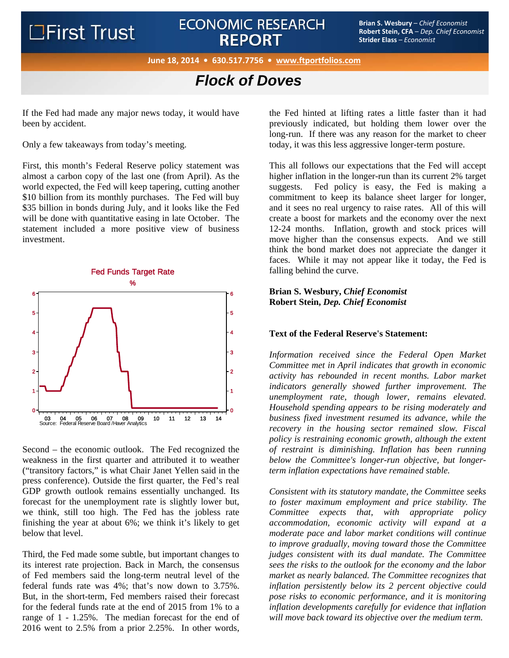## ECONOMIC RESEARCH<br>**BEDOPT** BOOT **Strips** (Strain, CFA – Dep. Chief Economist<br>Children Changes (Scanophar), Children Changes (Scanophar), Children Changes (Scanophar), Children Changes (Scanophar) **REPORT**

**Robert Stein, CFA** – *Dep. Chief Economist* **Strider Elass** – *Economist*

**June 18, 2014 • 630.517.7756 • www.ftportfolios.com**

## *Flock of Doves*

If the Fed had made any major news today, it would have been by accident.

Only a few takeaways from today's meeting.

First, this month's Federal Reserve policy statement was almost a carbon copy of the last one (from April). As the world expected, the Fed will keep tapering, cutting another \$10 billion from its monthly purchases. The Fed will buy \$35 billion in bonds during July, and it looks like the Fed will be done with quantitative easing in late October. The statement included a more positive view of business investment.



Second – the economic outlook. The Fed recognized the weakness in the first quarter and attributed it to weather ("transitory factors," is what Chair Janet Yellen said in the press conference). Outside the first quarter, the Fed's real GDP growth outlook remains essentially unchanged. Its forecast for the unemployment rate is slightly lower but, we think, still too high. The Fed has the jobless rate finishing the year at about 6%; we think it's likely to get below that level.

Third, the Fed made some subtle, but important changes to its interest rate projection. Back in March, the consensus of Fed members said the long-term neutral level of the federal funds rate was 4%; that's now down to 3.75%. But, in the short-term, Fed members raised their forecast for the federal funds rate at the end of 2015 from 1% to a range of 1 - 1.25%. The median forecast for the end of 2016 went to 2.5% from a prior 2.25%. In other words,

the Fed hinted at lifting rates a little faster than it had previously indicated, but holding them lower over the long-run. If there was any reason for the market to cheer today, it was this less aggressive longer-term posture.

This all follows our expectations that the Fed will accept higher inflation in the longer-run than its current 2% target suggests. Fed policy is easy, the Fed is making a commitment to keep its balance sheet larger for longer, and it sees no real urgency to raise rates. All of this will create a boost for markets and the economy over the next 12-24 months. Inflation, growth and stock prices will move higher than the consensus expects. And we still think the bond market does not appreciate the danger it faces. While it may not appear like it today, the Fed is falling behind the curve.

**Brian S. Wesbury,** *Chief Economist* **Robert Stein,** *Dep. Chief Economist* 

## **Text of the Federal Reserve's Statement:**

*Information received since the Federal Open Market Committee met in April indicates that growth in economic activity has rebounded in recent months. Labor market indicators generally showed further improvement. The unemployment rate, though lower, remains elevated. Household spending appears to be rising moderately and business fixed investment resumed its advance, while the recovery in the housing sector remained slow. Fiscal policy is restraining economic growth, although the extent of restraint is diminishing. Inflation has been running below the Committee's longer-run objective, but longerterm inflation expectations have remained stable.* 

*Consistent with its statutory mandate, the Committee seeks to foster maximum employment and price stability. The Committee expects that, with appropriate policy accommodation, economic activity will expand at a moderate pace and labor market conditions will continue to improve gradually, moving toward those the Committee judges consistent with its dual mandate. The Committee sees the risks to the outlook for the economy and the labor market as nearly balanced. The Committee recognizes that inflation persistently below its 2 percent objective could pose risks to economic performance, and it is monitoring inflation developments carefully for evidence that inflation will move back toward its objective over the medium term.*